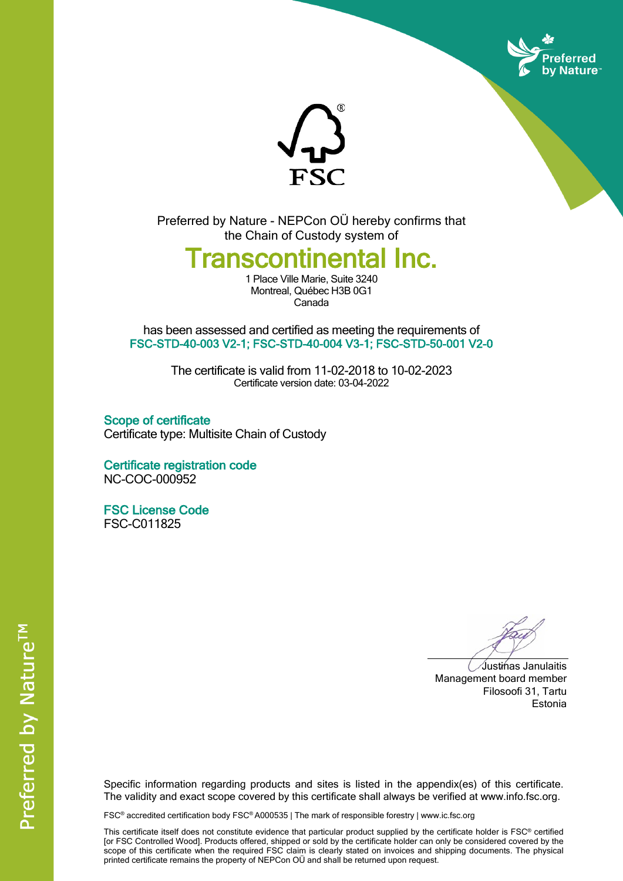



Preferred by Nature - NEPCon OÜ hereby confirms that the Chain of Custody system of

## **Transcontinental Inc.**

1 Place Ville Marie, Suite 3240 Montreal, Québec H3B 0G1 Canada

has been assessed and certified as meeting the requirements of **FSC-STD-40-003 V2-1; FSC-STD-40-004 V3-1; FSC-STD-50-001 V2-0**

> The certificate is valid from 11-02-2018 to 10-02-2023 Certificate version date: 03-04-2022

**Scope of certificate** Certificate type: Multisite Chain of Custody

**Certificate registration code** NC-COC-000952

**FSC License Code** FSC-C011825

Justinas Janulaitis Management board member Filosoofi 31, Tartu Estonia

Specific information regarding products and sites is listed in the appendix(es) of this certificate. The validity and exact scope covered by this certificate shall always be verified at www.info.fsc.org.

FSC® accredited certification body FSC® A000535 | The mark of responsible forestry | www.ic.fsc.org

This certificate itself does not constitute evidence that particular product supplied by the certificate holder is FSC® certified [or FSC Controlled Wood]. Products offered, shipped or sold by the certificate holder can only be considered covered by the scope of this certificate when the required FSC claim is clearly stated on invoices and shipping documents. The physical printed certificate remains the property of NEPCon OÜ and shall be returned upon request.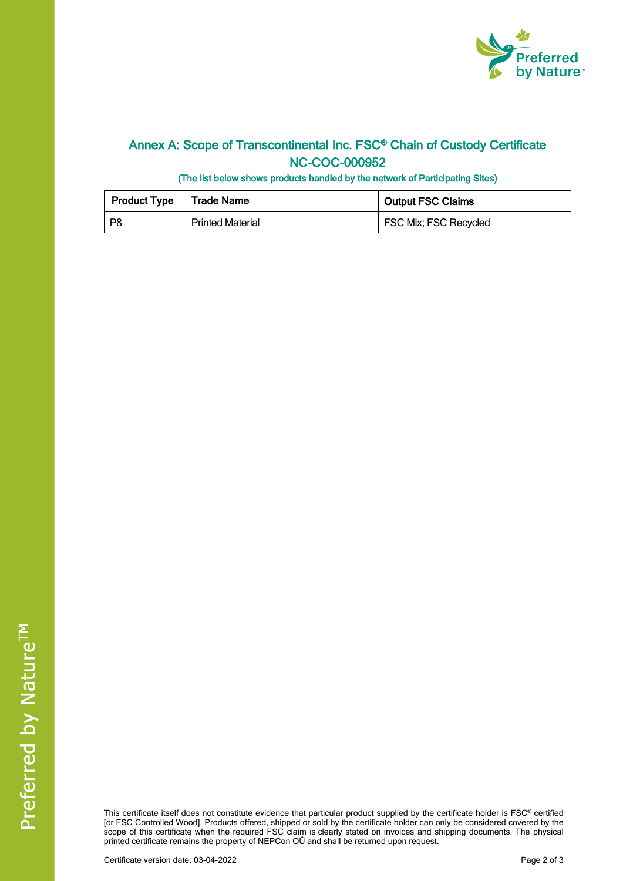

## **Annex A: Scope of Transcontinental Inc. FSC® Chain of Custody Certificate NC-COC-000952**

**(The list below shows products handled by the network of Participating Sites)**

| <b>Product Type</b>   Trade Name |                         | <b>Output FSC Claims</b> |  |
|----------------------------------|-------------------------|--------------------------|--|
| P8                               | <b>Printed Material</b> | FSC Mix; FSC Recycled    |  |

This certificate itself does not constitute evidence that particular product supplied by the certificate holder is FSC® certified [or FSC Controlled Wood]. Products offered, shipped or sold by the certificate holder can only be considered covered by the scope of this certificate when the required FSC claim is clearly stated on invoices and shipping documents. The physical printed certificate remains the property of NEPCon OÜ and shall be returned upon request.